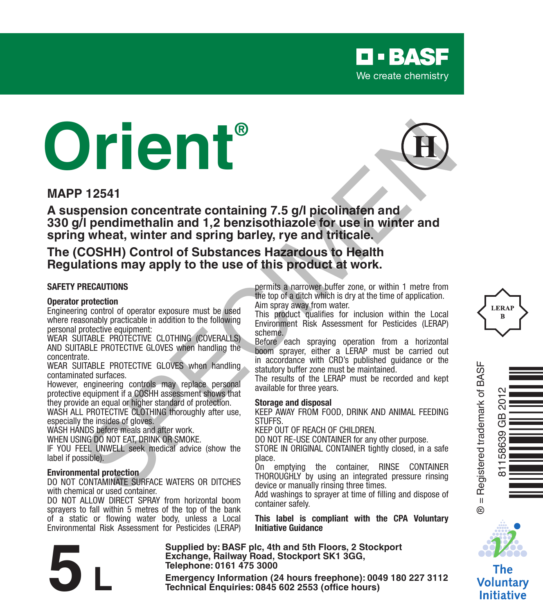

# **Orient®**

**MAPP 12541**

**A suspension concentrate containing 7.5 g/l picolinafen and 330 g/l pendimethalin and 1,2 benzisothiazole for use in winter and spring wheat, winter and spring barley, rye and triticale. Examplemental and the performance of the specifical specifical performance and the performance of the specifical performance of the specifical specifical performance of the specifical content of the specifical content of** 

**The (COSHH) Control of Substances Hazardous to Health Regulations may apply to the use of this product at work.**

#### **SAFETY PRECAUTIONS**

#### **Operator protection**

Engineering control of operator exposure must be used where reasonably practicable in addition to the following personal protective equipment:

WEAR SUITABLE PROTECTIVE CLOTHING (COVERALLS) AND SUITABLE PROTECTIVE GLOVES when handling the concentrate.

WFAR SUITABLE PROTECTIVE GLOVES when handling contaminated surfaces.

However, engineering controls may replace personal protective equipment if a COSHH assessment shows that they provide an equal or higher standard of protection.

WASH ALL PROTECTIVE CLOTHING thoroughly after use. especially the insides of gloves.

WASH HANDS before meals and after work.

WHEN USING DO NOT EAT, DRINK OR SMOKE.

IF YOU FEEL UNWELL seek medical advice (show the label if possible).

#### **Environmental protection**

DO NOT CONTAMINATE SURFACE WATERS OR DITCHES with chemical or used container.

DO NOT ALLOW DIRECT SPRAY from horizontal boom sprayers to fall within 5 metres of the top of the bank of a static or flowing water body, unless a Local Environmental Risk Assessment for Pesticides (LERAP)

permits a narrower buffer zone, or within 1 metre from the top of a ditch which is dry at the time of application. Aim spray away from water.

This product qualifies for inclusion within the Local Environment Risk Assessment for Pesticides (LERAP) scheme.

Before each spraying operation from a horizontal boom sprayer, either a LERAP must be carried out in accordance with CRD's published guidance or the statutory buffer zone must be maintained.

The results of the LERAP must be recorded and kept available for three years.

#### **Storage and disposal**

KEEP AWAY FROM FOOD, DRINK AND ANIMAL FEEDING **STUFFS** 

KEEP OUT OF REACH OF CHILDREN.

DO NOT RE-USE CONTAINER for any other purpose.

STORE IN ORIGINAL CONTAINER tightly closed, in a safe place.

On emptying the container, RINSE CONTAINER THOROUGHLY by using an integrated pressure rinsing device or manually rinsing three times.

Add washings to sprayer at time of filling and dispose of container safely.

**This label is compliant with the CPA Voluntary Initiative Guidance**

**Supplied by: BASF plc, 4th and 5th Floors, 2 Stockport Exchange, Railway Road, Stockport SK1 3GG, Telephone: 0161 475 3000** Exchange, Rallway Road, Stockport SK1 3GG,<br>
Telephone: 0161 475 3000<br>
Emergency Information (24 hours freephone): 0049 180 227 3112<br>
Technical Enquiries: 0845 602 2553 (office hours)







 $^{\circ}$ 

The **Voluntary Initiative**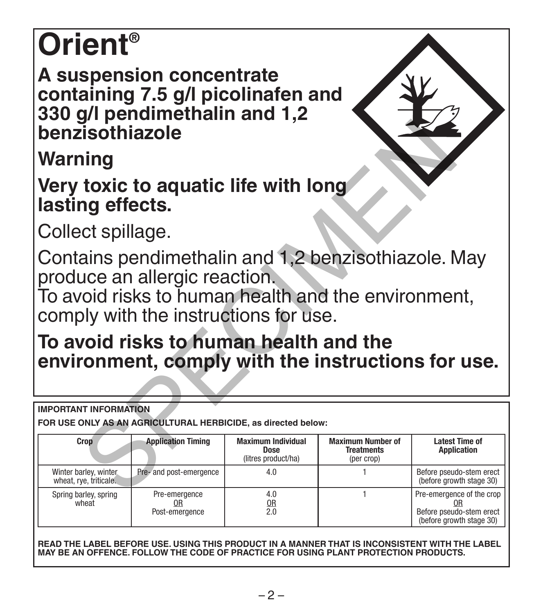# **Orient®**

**A suspension concentrate containing 7.5 g/l picolinafen and 330 g/l pendimethalin and 1,2 benzisothiazole**

| benzisothiazole                                                                                                                                                                                                                                                                      |                                       |                                                   |                                                             |                                                                                   |  |  |  |
|--------------------------------------------------------------------------------------------------------------------------------------------------------------------------------------------------------------------------------------------------------------------------------------|---------------------------------------|---------------------------------------------------|-------------------------------------------------------------|-----------------------------------------------------------------------------------|--|--|--|
| Warning                                                                                                                                                                                                                                                                              |                                       |                                                   |                                                             |                                                                                   |  |  |  |
| Very toxic to aquatic life with long<br>lasting effects.                                                                                                                                                                                                                             |                                       |                                                   |                                                             |                                                                                   |  |  |  |
| Collect spillage.                                                                                                                                                                                                                                                                    |                                       |                                                   |                                                             |                                                                                   |  |  |  |
| Contains pendimethalin and 1,2 benzisothiazole. May<br>produce an allergic reaction.<br>To avoid risks to human health and the environment,<br>comply with the instructions for use.<br>To avoid risks to human health and the<br>environment, comply with the instructions for use. |                                       |                                                   |                                                             |                                                                                   |  |  |  |
| <b>IMPORTANT INFORMATION</b><br>FOR USE ONLY AS AN AGRICULTURAL HERBICIDE, as directed below:                                                                                                                                                                                        |                                       |                                                   |                                                             |                                                                                   |  |  |  |
| Crop                                                                                                                                                                                                                                                                                 | <b>Application Timing</b>             | Maximum Individual<br>Dose<br>(litres product/ha) | <b>Maximum Number of</b><br><b>Treatments</b><br>(per crop) | <b>Latest Time of</b><br>Application                                              |  |  |  |
| Winter barley, winter.<br>wheat, rye, triticale.                                                                                                                                                                                                                                     | Pre- and post-emergence               | 4.0                                               | 1                                                           | Before pseudo-stem erect<br>(before growth stage 30)                              |  |  |  |
| Spring barley, spring<br>wheat                                                                                                                                                                                                                                                       | Pre-emergence<br>0R<br>Post-emergence | 4.0<br>0R<br>2.0                                  | 1                                                           | Pre-emergence of the crop<br>Before pseudo-stem erect<br>(before growth stage 30) |  |  |  |

**READ THE LABEL BEFORE USE. USING THIS PRODUCT IN A MANNER THAT IS INCONSISTENT WITH THE LABEL MAY BE AN OFFENCE. FOLLOW THE CODE OF PRACTICE FOR USING PLANT PROTECTION PRODUCTS.**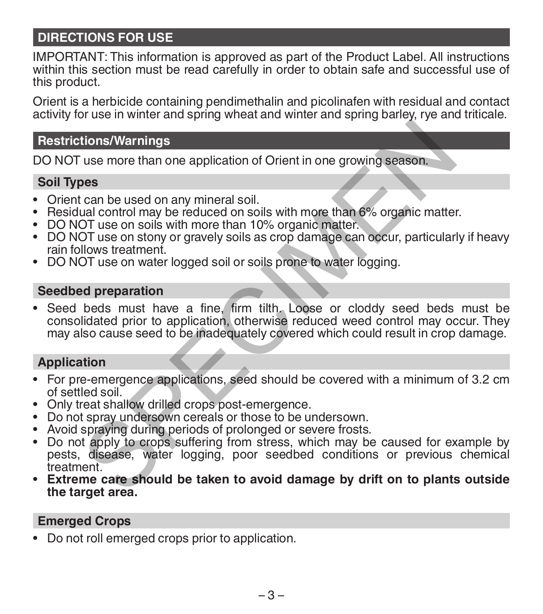# **DIRECTIONS FOR USE**

IMPORTANT: This information is approved as part of the Product Label. All instructions within this section must be read carefully in order to obtain safe and successful use of this product.

Orient is a herbicide containing pendimethalin and picolinafen with residual and contact activity for use in winter and spring wheat and winter and spring barley, rye and triticale.

#### **Restrictions/Warnings**

DO NOT use more than one application of Orient in one growing season.

#### **Soil Types**

- Orient can be used on any mineral soil.
- Residual control may be reduced on soils with more than 6% organic matter.
- DO NOT use on soils with more than 10% organic matter.
- DO NOT use on stony or gravely soils as crop damage can occur, particularly if heavy rain follows treatment.
- DO NOT use on water logged soil or soils prone to water logging.

#### **Seedbed preparation**

• Seed beds must have a fine, firm tilth. Loose or cloddy seed beds must be consolidated prior to application, otherwise reduced weed control may occur. They may also cause seed to be inadequately covered which could result in crop damage. tions/Warnings<br>
use more than one application of Orient in one growing season.<br>
can be used on any mineral soil.<br>
can be used on any mineral soil.<br>
can be used on any mineral soil.<br>
cold the process of the matter of the ma

#### **Application**

- For pre-emergence applications, seed should be covered with a minimum of 3.2 cm of settled soil.
- Only treat shallow drilled crops post-emergence.<br>• Do not spray undersown cereals or those to be undersown.
- 
- 
- Avoid spraying during periods of prolonged or severe frosts.<br>• Do not apply to crops suffering from stress, which may be caused for example by pests, disease, water logging, poor seedbed conditions or previous chemical treatment.
- **• Extreme care should be taken to avoid damage by drift on to plants outside the target area.**

#### **Emerged Crops**

• Do not roll emerged crops prior to application.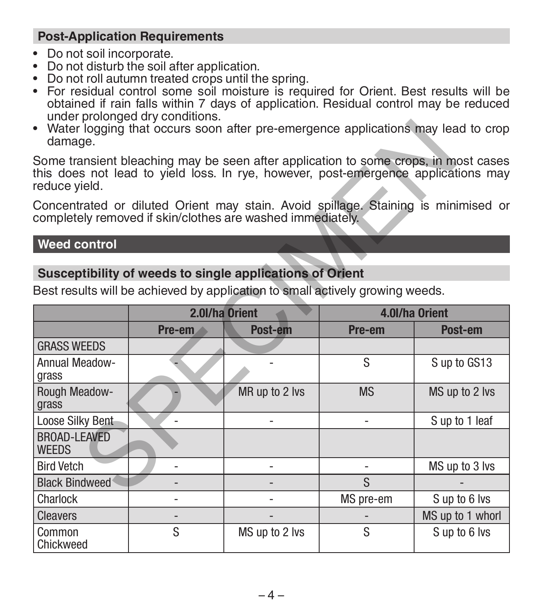# **Post-Application Requirements**

- Do not soil incorporate.
- Do not disturb the soil after application.
- Do not roll autumn treated crops until the spring.
- For residual control some soil moisture is required for Orient. Best results will be obtained if rain falls within 7 days of application. Residual control may be reduced under prolonged dry conditions.
- Water logging that occurs soon after pre-emergence applications may lead to crop damage.

#### **Weed control**

# **Susceptibility of weeds to single applications of Orient**

| damage.                                                                                                                                          | • Water logging that occurs soon after pre-emergence applications may lead to crop |                |                |                                                                                                                                                                           |  |  |
|--------------------------------------------------------------------------------------------------------------------------------------------------|------------------------------------------------------------------------------------|----------------|----------------|---------------------------------------------------------------------------------------------------------------------------------------------------------------------------|--|--|
| reduce vield.                                                                                                                                    |                                                                                    |                |                | Some transient bleaching may be seen after application to some crops, in most cases<br>this does not lead to yield loss. In rye, however, post-emergence applications may |  |  |
| Concentrated or diluted Orient may stain. Avoid spillage. Staining is minimised or<br>completely removed if skin/clothes are washed immediately. |                                                                                    |                |                |                                                                                                                                                                           |  |  |
| Weed control                                                                                                                                     |                                                                                    |                |                |                                                                                                                                                                           |  |  |
| Susceptibility of weeds to single applications of Orient                                                                                         |                                                                                    |                |                |                                                                                                                                                                           |  |  |
| Best results will be achieved by application to small actively growing weeds.                                                                    |                                                                                    |                |                |                                                                                                                                                                           |  |  |
|                                                                                                                                                  | 2.0l/ha Orient                                                                     |                | 4.0l/ha Orient |                                                                                                                                                                           |  |  |
|                                                                                                                                                  | Pre-em                                                                             | Post-em        | Pre-em         | Post-em                                                                                                                                                                   |  |  |
| <b>GRASS WEEDS</b>                                                                                                                               |                                                                                    |                |                |                                                                                                                                                                           |  |  |
| Annual Meadow-<br>grass                                                                                                                          |                                                                                    |                | S              | S up to GS13                                                                                                                                                              |  |  |
| Rough Meadow-<br>grass                                                                                                                           |                                                                                    | MR up to 2 lvs | <b>MS</b>      | MS up to 2 lvs                                                                                                                                                            |  |  |
| Loose Silky Bent                                                                                                                                 |                                                                                    |                |                | S up to 1 leaf                                                                                                                                                            |  |  |
| BROAD-LEAVED<br><b>WEEDS</b>                                                                                                                     |                                                                                    |                |                |                                                                                                                                                                           |  |  |
| <b>Bird Vetch</b>                                                                                                                                | ٠                                                                                  | $\overline{a}$ | ۰              | MS up to 3 lvs                                                                                                                                                            |  |  |
| <b>Black Bindweed</b>                                                                                                                            |                                                                                    |                | S              |                                                                                                                                                                           |  |  |
| Charlock                                                                                                                                         | ۰                                                                                  |                | MS pre-em      | Sup to 6 lvs                                                                                                                                                              |  |  |
| <b>Cleavers</b>                                                                                                                                  | $\overline{a}$                                                                     |                |                | MS up to 1 whorl                                                                                                                                                          |  |  |
| Common<br>Chickweed                                                                                                                              | S                                                                                  | MS up to 2 lvs | S              | Sup to 6 lvs                                                                                                                                                              |  |  |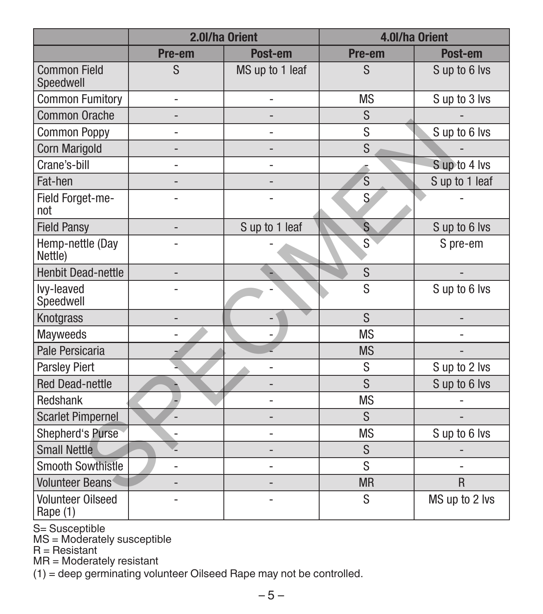|                                      | 2.0l/ha Orient           |                 | 4.0l/ha Orient |                             |
|--------------------------------------|--------------------------|-----------------|----------------|-----------------------------|
|                                      | Pre-em                   | Post-em         | Pre-em         | Post-em                     |
| <b>Common Field</b><br>Speedwell     | S                        | MS up to 1 leaf | <sub>S</sub>   | S up to 6 lvs               |
| <b>Common Fumitory</b>               | ä,                       | L,              | <b>MS</b>      | S up to 3 lvs               |
| <b>Common Orache</b>                 | ٠                        | ÷               | S              |                             |
| <b>Common Poppy</b>                  | L,                       | ÷,              | S              | Sup to 6 lvs                |
| Corn Marigold                        | $\overline{a}$           | $\overline{a}$  | S              |                             |
| Crane's-bill                         | L,                       | L,              |                | Sup to 4 lvs                |
| Fat-hen                              | $\overline{a}$           | $\overline{a}$  | S              | $\overline{S}$ up to 1 leaf |
| Field Forget-me-<br>not              |                          |                 | S              |                             |
| <b>Field Pansy</b>                   | $\overline{\phantom{a}}$ | S up to 1 leaf  | S              | Sup to 6 lvs                |
| Hemp-nettle (Day<br>Nettle)          |                          |                 | S              | S pre-em                    |
| <b>Henbit Dead-nettle</b>            | $\overline{a}$           |                 | S              |                             |
| lvy-leaved<br>Speedwell              |                          |                 | S              | Sup to 6 lvs                |
| Knotgrass                            | $\overline{a}$           |                 | S              |                             |
| <b>Mavweeds</b>                      |                          |                 | <b>MS</b>      | L.                          |
| Pale Persicaria                      |                          |                 | <b>MS</b>      |                             |
| <b>Parsley Piert</b>                 |                          |                 | S              | S up to 2 lvs               |
| <b>Red Dead-nettle</b>               |                          |                 | S              | S up to 6 lvs               |
| Redshank                             |                          |                 | <b>MS</b>      |                             |
| <b>Scarlet Pimpernel</b>             |                          |                 | S              |                             |
| <b>Shepherd's Purse</b>              |                          |                 | <b>MS</b>      | Sup to 6 lvs                |
| <b>Small Nettle</b>                  |                          | -               | S              |                             |
| Smooth Sowthistle                    | L                        | L,              | S              | L.                          |
| <b>Volunteer Beans</b>               |                          |                 | <b>MR</b>      | $\mathsf{R}$                |
| <b>Volunteer Oilseed</b><br>Rape (1) |                          |                 | S              | MS up to 2 lvs              |

S= Susceptible MS = Moderately susceptible R = Resistant

MR = Moderately resistant

(1) = deep germinating volunteer Oilseed Rape may not be controlled.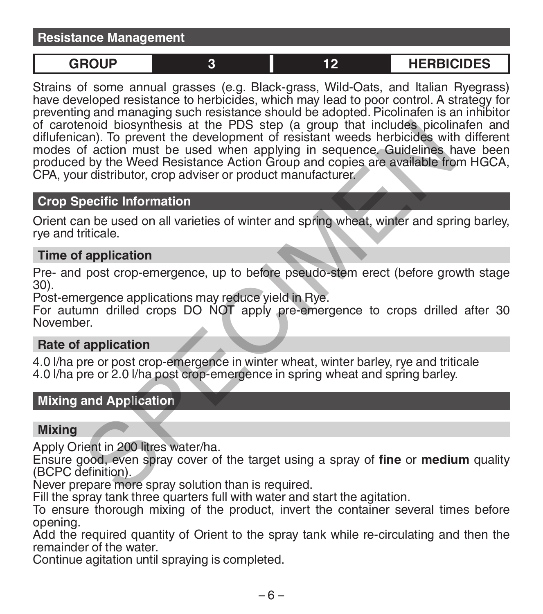#### **Resistance Management**

**GROUP 3 12 HERBICIDES**

Strains of some annual grasses (e.g. Black-grass, Wild-Oats, and Italian Ryegrass) have developed resistance to herbicides, which may lead to poor control. A strategy for preventing and managing such resistance should be adopted. Picolinafen is an inhibitor of carotenoid biosynthesis at the PDS step (a group that includes picolinafen and diflufenican). To prevent the development of resistant weeds herbicides with different modes of action must be used when applying in sequence. Guidelines have been produced by the Weed Resistance Action Group and copies are available from HGCA, CPA, your distributor, crop adviser or product manufacturer. ence the development of resistant weeds the chird of the action of a control. To prevent the development of resistance Action Group and copies are available from distributor, crop adviser or product manufacturer.<br>The Weed

#### **Crop Specific Information**

Orient can be used on all varieties of winter and spring wheat, winter and spring barley, rye and triticale.

#### **Time of application**

Pre- and post crop-emergence, up to before pseudo-stem erect (before growth stage 30).

Post-emergence applications may reduce yield in Rye.

For autumn drilled crops DO NOT apply pre-emergence to crops drilled after 30 November.

# **Rate of application**

4.0 l/ha pre or post crop-emergence in winter wheat, winter barley, rye and triticale 4.0 l/ha pre or 2.0 l/ha post crop-emergence in spring wheat and spring barley.

#### **Mixing and Application**

#### **Mixing**

Apply Orient in 200 litres water/ha.

Ensure good, even spray cover of the target using a spray of **fine** or **medium** quality (BCPC definition).

Never prepare more spray solution than is required.

Fill the spray tank three quarters full with water and start the agitation.

To ensure thorough mixing of the product, invert the container several times before opening.

Add the required quantity of Orient to the spray tank while re-circulating and then the remainder of the water.

Continue agitation until spraying is completed.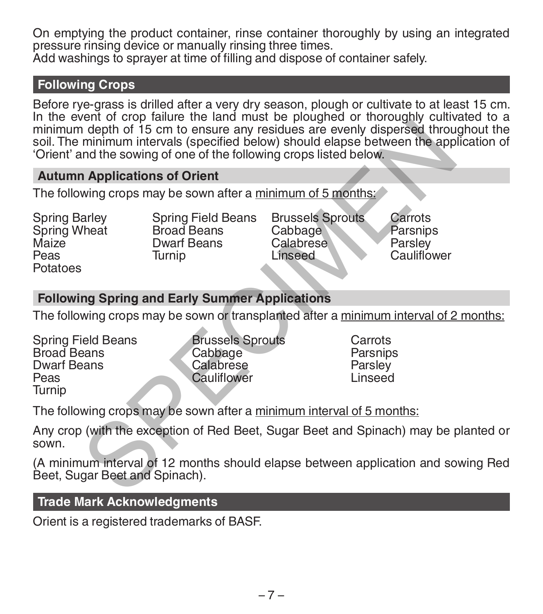On emptying the product container, rinse container thoroughly by using an integrated pressure rinsing device or manually rinsing three times.

Add washings to sprayer at time of filling and dispose of container safely.

# **Following Crops**

Before rye-grass is drilled after a very dry season, plough or cultivate to at least 15 cm. In the event of crop failure the land must be ploughed or thoroughly cultivated to a minimum depth of 15 cm to ensure any residues are evenly dispersed throughout the soil. The minimum intervals (specified below) should elapse between the application of 'Orient' and the sowing of one of the following crops listed below. Framing intervals (specified below) should elapse between the applituation of 15 cm to ensure any residues are evenly dispersed through in depth of 15 cm to ensure any residues are evenly dispersed through that sowing cone

#### **Autumn Applications of Orient**

The following crops may be sown after a minimum of 5 months:

- Spring Barley Spring Wheat **Maize** Peas Potatoes
- Spring Field Beans Broad Beans Dwarf Beans **Turnin**

Brussels Sprouts Cabbage Calabrese Linseed

Carrots **Parsnips Parsley** Cauliflower

# **Following Spring and Early Summer Applications**

The following crops may be sown or transplanted after a minimum interval of 2 months:

- Spring Field Beans Broad Beans Dwarf Beans Peas Turnip
- Brussels Sprouts **Cabbage** Calabrese Cauliflower
- **Carrots** Parsnips **Parsley** Linseed

The following crops may be sown after a minimum interval of 5 months:

Any crop (with the exception of Red Beet, Sugar Beet and Spinach) may be planted or sown.

(A minimum interval of 12 months should elapse between application and sowing Red Beet, Sugar Beet and Spinach).

#### **Trade Mark Acknowledgments**

Orient is a registered trademarks of BASF.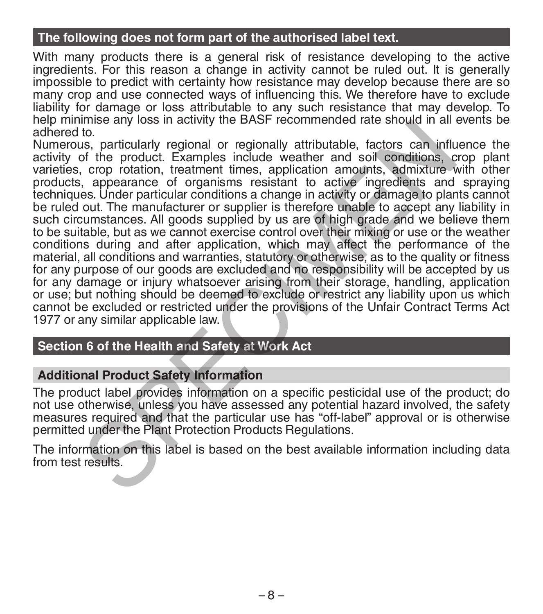### **The following does not form part of the authorised label text.**

With many products there is a general risk of resistance developing to the active ingredients. For this reason a change in activity cannot be ruled out. It is generally impossible to predict with certainty how resistance may develop because there are so many crop and use connected ways of influencing this. We therefore have to exclude liability for damage or loss attributable to any such resistance that may develop. To help minimise any loss in activity the BASF recommended rate should in all events be adhered to.

Numerous, particularly regional or regionally attributable, factors can influence the activity of the product. Examples include weather and soil conditions, crop plant varieties, crop rotation, treatment times, application amounts, admixture with other products, appearance of organisms resistant to active ingredients and spraying techniques. Under particular conditions a change in activity or damage to plants cannot be ruled out. The manufacturer or supplier is therefore unable to accept any liability in such circumstances. All goods supplied by us are of high grade and we believe them to be suitable, but as we cannot exercise control over their mixing or use or the weather conditions during and after application, which may affect the performance of the material, all conditions and warranties, statutory or otherwise, as to the quality or fitness for any purpose of our goods are excluded and no responsibility will be accepted by us for any damage or injury whatsoever arising from their storage, handling, application or use; but nothing should be deemed to exclude or restrict any liability upon us which cannot be excluded or restricted under the provisions of the Unfair Contract Terms Act 1977 or any similar applicable law. this was particularly real particular back to the best and the product and the product. Examples include weather and soil conditions, corp rotation, treatment times, application amounts, admixture views, appearance of orga

# **Section 6 of the Health and Safety at Work Act**

#### **Additional Product Safety Information**

The product label provides information on a specific pesticidal use of the product; do not use otherwise, unless you have assessed any potential hazard involved, the safety measures required and that the particular use has "off-label" approval or is otherwise permitted under the Plant Protection Products Regulations.

The information on this label is based on the best available information including data from test results.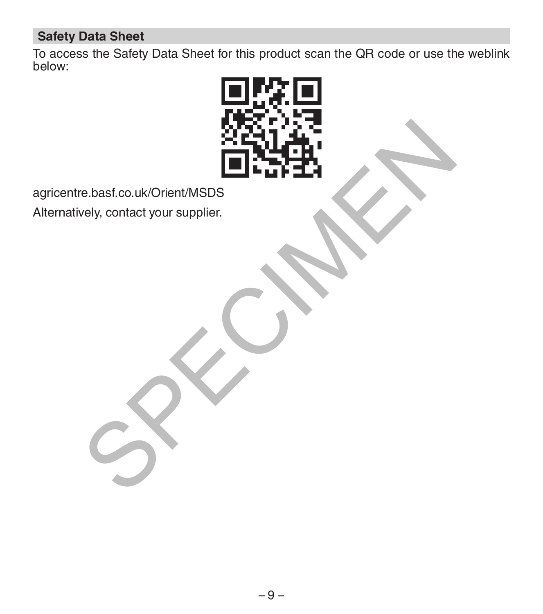# **Safety Data Sheet**

To access the Safety Data Sheet for this product scan the QR code or use the weblink below:



agricentre.basf.co.uk/Orient/MSDS

Alternatively, contact your supplier.